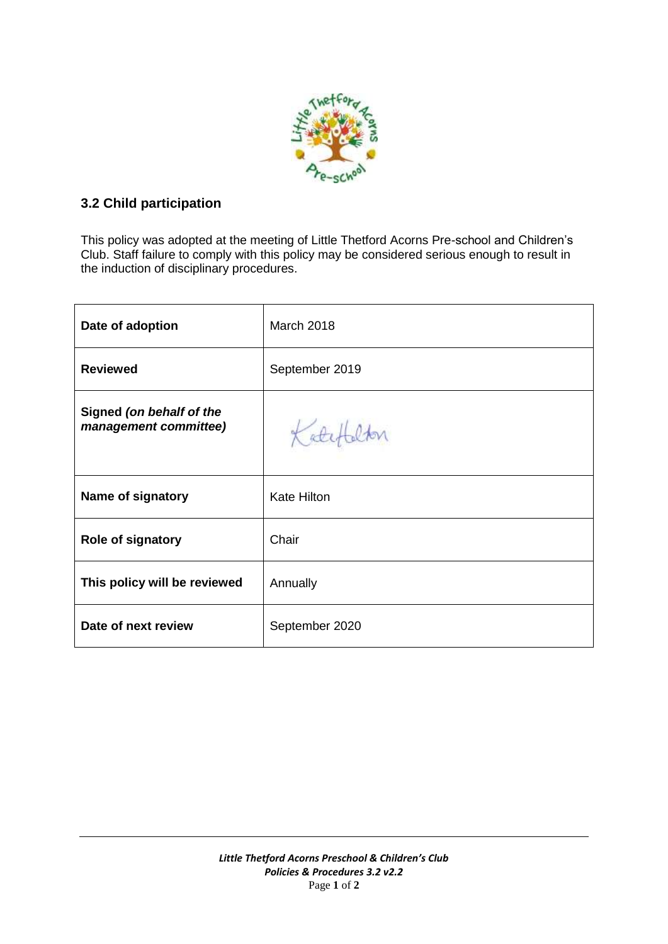

# **3.2 Child participation**

This policy was adopted at the meeting of Little Thetford Acorns Pre-school and Children's Club. Staff failure to comply with this policy may be considered serious enough to result in the induction of disciplinary procedures.

| Date of adoption                                  | <b>March 2018</b>  |
|---------------------------------------------------|--------------------|
| <b>Reviewed</b>                                   | September 2019     |
| Signed (on behalf of the<br>management committee) | Katch              |
| Name of signatory                                 | <b>Kate Hilton</b> |
| <b>Role of signatory</b>                          | Chair              |
| This policy will be reviewed                      | Annually           |
| Date of next review                               | September 2020     |